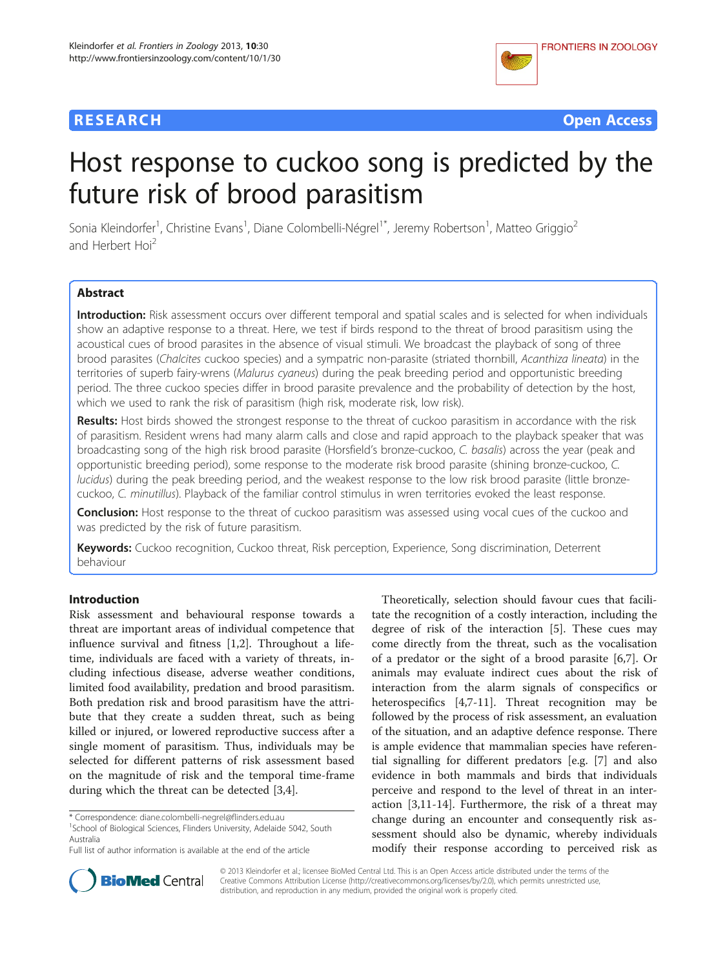



# Host response to cuckoo song is predicted by the future risk of brood parasitism

Sonia Kleindorfer<sup>1</sup>, Christine Evans<sup>1</sup>, Diane Colombelli-Négrel<sup>1\*</sup>, Jeremy Robertson<sup>1</sup>, Matteo Griggio<sup>2</sup> and Herbert Hoi<sup>2</sup>

# Abstract

Introduction: Risk assessment occurs over different temporal and spatial scales and is selected for when individuals show an adaptive response to a threat. Here, we test if birds respond to the threat of brood parasitism using the acoustical cues of brood parasites in the absence of visual stimuli. We broadcast the playback of song of three brood parasites (Chalcites cuckoo species) and a sympatric non-parasite (striated thornbill, Acanthiza lineata) in the territories of superb fairy-wrens (Malurus cyaneus) during the peak breeding period and opportunistic breeding period. The three cuckoo species differ in brood parasite prevalence and the probability of detection by the host, which we used to rank the risk of parasitism (high risk, moderate risk, low risk).

Results: Host birds showed the strongest response to the threat of cuckoo parasitism in accordance with the risk of parasitism. Resident wrens had many alarm calls and close and rapid approach to the playback speaker that was broadcasting song of the high risk brood parasite (Horsfield's bronze-cuckoo, C. basalis) across the year (peak and opportunistic breeding period), some response to the moderate risk brood parasite (shining bronze-cuckoo, C. lucidus) during the peak breeding period, and the weakest response to the low risk brood parasite (little bronzecuckoo, C. minutillus). Playback of the familiar control stimulus in wren territories evoked the least response.

**Conclusion:** Host response to the threat of cuckoo parasitism was assessed using vocal cues of the cuckoo and was predicted by the risk of future parasitism.

Keywords: Cuckoo recognition, Cuckoo threat, Risk perception, Experience, Song discrimination, Deterrent behaviour

# Introduction

Risk assessment and behavioural response towards a threat are important areas of individual competence that influence survival and fitness [[1,2\]](#page-8-0). Throughout a lifetime, individuals are faced with a variety of threats, including infectious disease, adverse weather conditions, limited food availability, predation and brood parasitism. Both predation risk and brood parasitism have the attribute that they create a sudden threat, such as being killed or injured, or lowered reproductive success after a single moment of parasitism. Thus, individuals may be selected for different patterns of risk assessment based on the magnitude of risk and the temporal time-frame during which the threat can be detected [[3,4\]](#page-8-0).

<sup>1</sup>School of Biological Sciences, Flinders University, Adelaide 5042, South Australia

Theoretically, selection should favour cues that facilitate the recognition of a costly interaction, including the degree of risk of the interaction [[5\]](#page-8-0). These cues may come directly from the threat, such as the vocalisation of a predator or the sight of a brood parasite [[6,7\]](#page-8-0). Or animals may evaluate indirect cues about the risk of interaction from the alarm signals of conspecifics or heterospecifics [[4,7-11](#page-8-0)]. Threat recognition may be followed by the process of risk assessment, an evaluation of the situation, and an adaptive defence response. There is ample evidence that mammalian species have referential signalling for different predators [e.g. [[7\]](#page-8-0) and also evidence in both mammals and birds that individuals perceive and respond to the level of threat in an interaction [\[3,11](#page-8-0)-[14\]](#page-8-0). Furthermore, the risk of a threat may change during an encounter and consequently risk assessment should also be dynamic, whereby individuals modify their response according to perceived risk as



© 2013 Kleindorfer et al.; licensee BioMed Central Ltd. This is an Open Access article distributed under the terms of the Creative Commons Attribution License (<http://creativecommons.org/licenses/by/2.0>), which permits unrestricted use, distribution, and reproduction in any medium, provided the original work is properly cited.

<sup>\*</sup> Correspondence: [diane.colombelli-negrel@flinders.edu.au](mailto:diane.colombelli-negrel@flinders.edu.au) <sup>1</sup>

Full list of author information is available at the end of the article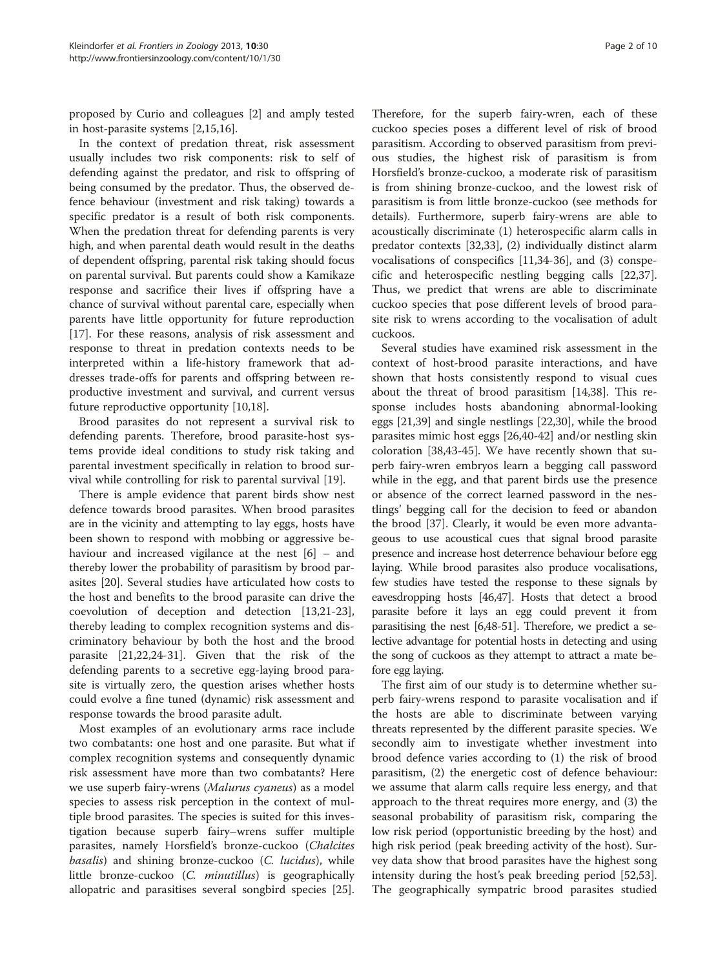proposed by Curio and colleagues [[2\]](#page-8-0) and amply tested in host-parasite systems [[2,15,16](#page-8-0)].

In the context of predation threat, risk assessment usually includes two risk components: risk to self of defending against the predator, and risk to offspring of being consumed by the predator. Thus, the observed defence behaviour (investment and risk taking) towards a specific predator is a result of both risk components. When the predation threat for defending parents is very high, and when parental death would result in the deaths of dependent offspring, parental risk taking should focus on parental survival. But parents could show a Kamikaze response and sacrifice their lives if offspring have a chance of survival without parental care, especially when parents have little opportunity for future reproduction [[17\]](#page-8-0). For these reasons, analysis of risk assessment and response to threat in predation contexts needs to be interpreted within a life-history framework that addresses trade-offs for parents and offspring between reproductive investment and survival, and current versus future reproductive opportunity [\[10,18](#page-8-0)].

Brood parasites do not represent a survival risk to defending parents. Therefore, brood parasite-host systems provide ideal conditions to study risk taking and parental investment specifically in relation to brood survival while controlling for risk to parental survival [\[19\]](#page-8-0).

There is ample evidence that parent birds show nest defence towards brood parasites. When brood parasites are in the vicinity and attempting to lay eggs, hosts have been shown to respond with mobbing or aggressive behaviour and increased vigilance at the nest [[6](#page-8-0)] – and thereby lower the probability of parasitism by brood parasites [[20](#page-8-0)]. Several studies have articulated how costs to the host and benefits to the brood parasite can drive the coevolution of deception and detection [\[13,21-23](#page-8-0)], thereby leading to complex recognition systems and discriminatory behaviour by both the host and the brood parasite [[21,22,24-31\]](#page-8-0). Given that the risk of the defending parents to a secretive egg-laying brood parasite is virtually zero, the question arises whether hosts could evolve a fine tuned (dynamic) risk assessment and response towards the brood parasite adult.

Most examples of an evolutionary arms race include two combatants: one host and one parasite. But what if complex recognition systems and consequently dynamic risk assessment have more than two combatants? Here we use superb fairy-wrens (Malurus cyaneus) as a model species to assess risk perception in the context of multiple brood parasites. The species is suited for this investigation because superb fairy–wrens suffer multiple parasites, namely Horsfield's bronze-cuckoo (Chalcites basalis) and shining bronze-cuckoo (C. lucidus), while little bronze-cuckoo (C. minutillus) is geographically allopatric and parasitises several songbird species [\[25](#page-8-0)].

Therefore, for the superb fairy-wren, each of these cuckoo species poses a different level of risk of brood parasitism. According to observed parasitism from previous studies, the highest risk of parasitism is from Horsfield's bronze-cuckoo, a moderate risk of parasitism is from shining bronze-cuckoo, and the lowest risk of parasitism is from little bronze-cuckoo (see methods for details). Furthermore, superb fairy-wrens are able to acoustically discriminate (1) heterospecific alarm calls in predator contexts [[32](#page-8-0),[33](#page-8-0)], (2) individually distinct alarm vocalisations of conspecifics [\[11,34](#page-8-0)-[36](#page-8-0)], and (3) conspecific and heterospecific nestling begging calls [\[22,37](#page-8-0)]. Thus, we predict that wrens are able to discriminate cuckoo species that pose different levels of brood parasite risk to wrens according to the vocalisation of adult cuckoos.

Several studies have examined risk assessment in the context of host-brood parasite interactions, and have shown that hosts consistently respond to visual cues about the threat of brood parasitism [[14,38\]](#page-8-0). This response includes hosts abandoning abnormal-looking eggs [[21](#page-8-0),[39](#page-9-0)] and single nestlings [\[22,30](#page-8-0)], while the brood parasites mimic host eggs [[26](#page-8-0),[40](#page-9-0)-[42\]](#page-9-0) and/or nestling skin coloration [\[38](#page-8-0)[,43](#page-9-0)-[45\]](#page-9-0). We have recently shown that superb fairy-wren embryos learn a begging call password while in the egg, and that parent birds use the presence or absence of the correct learned password in the nestlings' begging call for the decision to feed or abandon the brood [\[37\]](#page-8-0). Clearly, it would be even more advantageous to use acoustical cues that signal brood parasite presence and increase host deterrence behaviour before egg laying. While brood parasites also produce vocalisations, few studies have tested the response to these signals by eavesdropping hosts [\[46,47](#page-9-0)]. Hosts that detect a brood parasite before it lays an egg could prevent it from parasitising the nest [\[6](#page-8-0)[,48-51](#page-9-0)]. Therefore, we predict a selective advantage for potential hosts in detecting and using the song of cuckoos as they attempt to attract a mate before egg laying.

The first aim of our study is to determine whether superb fairy-wrens respond to parasite vocalisation and if the hosts are able to discriminate between varying threats represented by the different parasite species. We secondly aim to investigate whether investment into brood defence varies according to (1) the risk of brood parasitism, (2) the energetic cost of defence behaviour: we assume that alarm calls require less energy, and that approach to the threat requires more energy, and (3) the seasonal probability of parasitism risk, comparing the low risk period (opportunistic breeding by the host) and high risk period (peak breeding activity of the host). Survey data show that brood parasites have the highest song intensity during the host's peak breeding period [\[52,53](#page-9-0)]. The geographically sympatric brood parasites studied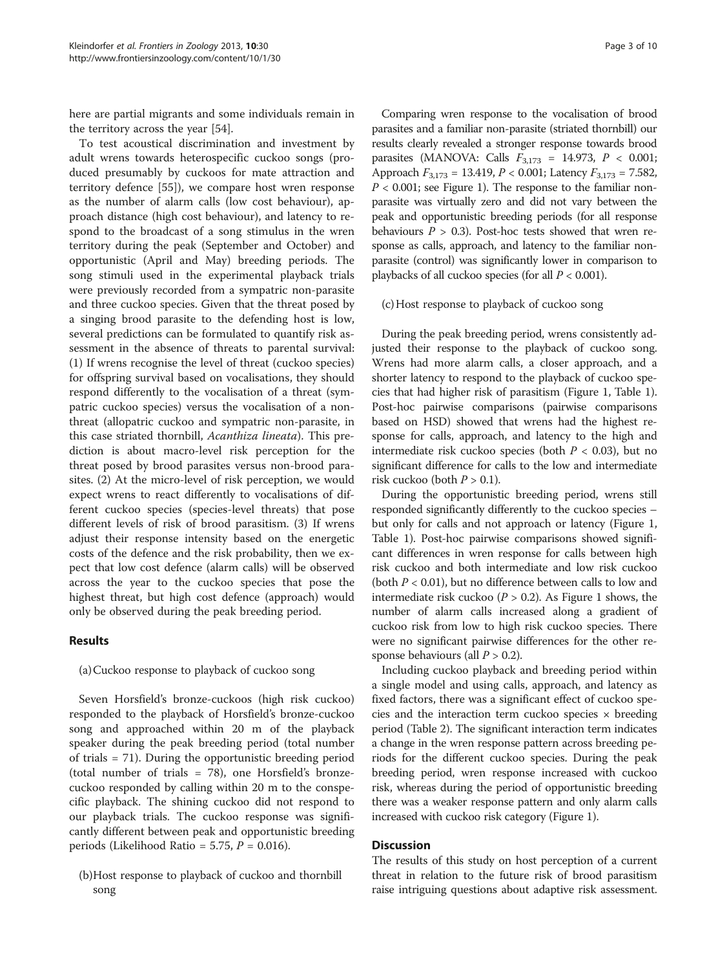here are partial migrants and some individuals remain in the territory across the year [\[54](#page-9-0)].

To test acoustical discrimination and investment by adult wrens towards heterospecific cuckoo songs (produced presumably by cuckoos for mate attraction and territory defence [[55](#page-9-0)]), we compare host wren response as the number of alarm calls (low cost behaviour), approach distance (high cost behaviour), and latency to respond to the broadcast of a song stimulus in the wren territory during the peak (September and October) and opportunistic (April and May) breeding periods. The song stimuli used in the experimental playback trials were previously recorded from a sympatric non-parasite and three cuckoo species. Given that the threat posed by a singing brood parasite to the defending host is low, several predictions can be formulated to quantify risk assessment in the absence of threats to parental survival: (1) If wrens recognise the level of threat (cuckoo species) for offspring survival based on vocalisations, they should respond differently to the vocalisation of a threat (sympatric cuckoo species) versus the vocalisation of a nonthreat (allopatric cuckoo and sympatric non-parasite, in this case striated thornbill, Acanthiza lineata). This prediction is about macro-level risk perception for the threat posed by brood parasites versus non-brood parasites. (2) At the micro-level of risk perception, we would expect wrens to react differently to vocalisations of different cuckoo species (species-level threats) that pose different levels of risk of brood parasitism. (3) If wrens adjust their response intensity based on the energetic costs of the defence and the risk probability, then we expect that low cost defence (alarm calls) will be observed across the year to the cuckoo species that pose the highest threat, but high cost defence (approach) would only be observed during the peak breeding period.

#### Results

(a)Cuckoo response to playback of cuckoo song

Seven Horsfield's bronze-cuckoos (high risk cuckoo) responded to the playback of Horsfield's bronze-cuckoo song and approached within 20 m of the playback speaker during the peak breeding period (total number of trials = 71). During the opportunistic breeding period (total number of trials = 78), one Horsfield's bronzecuckoo responded by calling within 20 m to the conspecific playback. The shining cuckoo did not respond to our playback trials. The cuckoo response was significantly different between peak and opportunistic breeding periods (Likelihood Ratio = 5.75,  $P = 0.016$ ).

Comparing wren response to the vocalisation of brood parasites and a familiar non-parasite (striated thornbill) our results clearly revealed a stronger response towards brood parasites (MANOVA: Calls  $F_{3,173} = 14.973$ ,  $P < 0.001$ ; Approach  $F_{3,173} = 13.419$ ,  $P < 0.001$ ; Latency  $F_{3,173} = 7.582$ ,  $P < 0.001$ ; see Figure [1](#page-3-0)). The response to the familiar nonparasite was virtually zero and did not vary between the peak and opportunistic breeding periods (for all response behaviours  $P > 0.3$ ). Post-hoc tests showed that wren response as calls, approach, and latency to the familiar nonparasite (control) was significantly lower in comparison to playbacks of all cuckoo species (for all  $P < 0.001$ ).

(c)Host response to playback of cuckoo song

During the peak breeding period, wrens consistently adjusted their response to the playback of cuckoo song. Wrens had more alarm calls, a closer approach, and a shorter latency to respond to the playback of cuckoo species that had higher risk of parasitism (Figure [1,](#page-3-0) Table [1](#page-3-0)). Post-hoc pairwise comparisons (pairwise comparisons based on HSD) showed that wrens had the highest response for calls, approach, and latency to the high and intermediate risk cuckoo species (both  $P < 0.03$ ), but no significant difference for calls to the low and intermediate risk cuckoo (both  $P > 0.1$ ).

During the opportunistic breeding period, wrens still responded significantly differently to the cuckoo species – but only for calls and not approach or latency (Figure [1](#page-3-0), Table [1\)](#page-3-0). Post-hoc pairwise comparisons showed significant differences in wren response for calls between high risk cuckoo and both intermediate and low risk cuckoo (both  $P < 0.01$ ), but no difference between calls to low and intermediate risk cuckoo ( $P > 0.2$ ). As Figure [1](#page-3-0) shows, the number of alarm calls increased along a gradient of cuckoo risk from low to high risk cuckoo species. There were no significant pairwise differences for the other response behaviours (all  $P > 0.2$ ).

Including cuckoo playback and breeding period within a single model and using calls, approach, and latency as fixed factors, there was a significant effect of cuckoo species and the interaction term cuckoo species  $\times$  breeding period (Table [2](#page-3-0)). The significant interaction term indicates a change in the wren response pattern across breeding periods for the different cuckoo species. During the peak breeding period, wren response increased with cuckoo risk, whereas during the period of opportunistic breeding there was a weaker response pattern and only alarm calls increased with cuckoo risk category (Figure [1\)](#page-3-0).

# **Discussion**

The results of this study on host perception of a current threat in relation to the future risk of brood parasitism raise intriguing questions about adaptive risk assessment.

<sup>(</sup>b)Host response to playback of cuckoo and thornbill song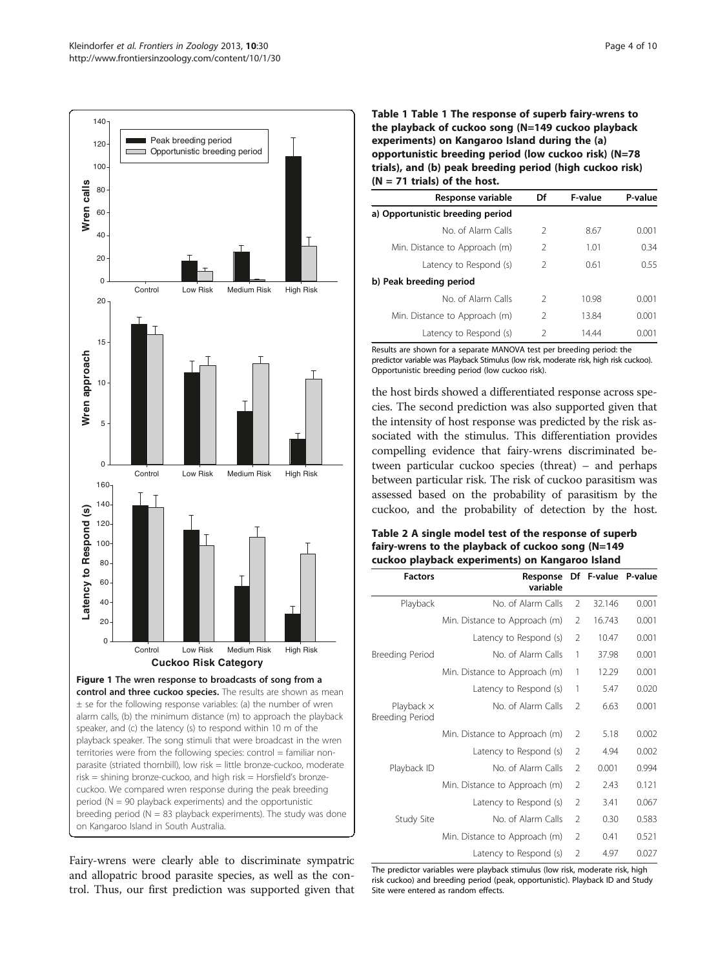<span id="page-3-0"></span>

breeding period ( $N = 83$  playback experiments). The study was done on Kangaroo Island in South Australia.

Fairy-wrens were clearly able to discriminate sympatric and allopatric brood parasite species, as well as the control. Thus, our first prediction was supported given that Table 1 Table 1 The response of superb fairy-wrens to the playback of cuckoo song (N=149 cuckoo playback experiments) on Kangaroo Island during the (a) opportunistic breeding period (low cuckoo risk) (N=78 trials), and (b) peak breeding period (high cuckoo risk)  $(N = 71$  trials) of the host.

| Response variable                | Df            | F-value | P-value |
|----------------------------------|---------------|---------|---------|
| a) Opportunistic breeding period |               |         |         |
| No of Alarm Calls                | $\mathcal{L}$ | 8.67    | 0.001   |
| Min. Distance to Approach (m)    | $\mathcal{L}$ | 1.01    | 0.34    |
| Latency to Respond (s)           | $\mathcal{L}$ | 0.61    | 0.55    |
| b) Peak breeding period          |               |         |         |
| No of Alarm Calls                | $\mathcal{P}$ | 10.98   | 0.001   |
| Min. Distance to Approach (m)    | $\mathcal{L}$ | 13.84   | 0.001   |
| Latency to Respond (s)           | $\mathcal{P}$ | 1444    | 0.001   |

Results are shown for a separate MANOVA test per breeding period: the predictor variable was Playback Stimulus (low risk, moderate risk, high risk cuckoo). Opportunistic breeding period (low cuckoo risk).

the host birds showed a differentiated response across species. The second prediction was also supported given that the intensity of host response was predicted by the risk associated with the stimulus. This differentiation provides compelling evidence that fairy-wrens discriminated between particular cuckoo species (threat) – and perhaps between particular risk. The risk of cuckoo parasitism was assessed based on the probability of parasitism by the cuckoo, and the probability of detection by the host.

# Table 2 A single model test of the response of superb fairy-wrens to the playback of cuckoo song (N=149 cuckoo playback experiments) on Kangaroo Island

| <b>Factors</b>                       | Response<br>variable          |                | Df F-value P-value |       |
|--------------------------------------|-------------------------------|----------------|--------------------|-------|
| Playback                             | No. of Alarm Calls            | $\overline{2}$ | 32.146             | 0.001 |
|                                      | Min. Distance to Approach (m) | 2              | 16.743             | 0.001 |
|                                      | Latency to Respond (s)        | $\overline{2}$ | 10.47              | 0.001 |
| Breeding Period                      | No. of Alarm Calls            | 1              | 37.98              | 0.001 |
|                                      | Min. Distance to Approach (m) | 1              | 12.29              | 0.001 |
|                                      | Latency to Respond (s)        | 1              | 5.47               | 0.020 |
| Playback $\times$<br>Breeding Period | No. of Alarm Calls            | $\mathcal{P}$  | 6.63               | 0.001 |
|                                      | Min. Distance to Approach (m) | $\mathcal{P}$  | 5.18               | 0.002 |
|                                      | Latency to Respond (s)        | $\mathcal{L}$  | 4.94               | 0.002 |
| Playback ID                          | No. of Alarm Calls            | $\mathfrak{D}$ | 0.001              | 0.994 |
|                                      | Min. Distance to Approach (m) | $\mathcal{P}$  | 2.43               | 0.121 |
|                                      | Latency to Respond (s)        | $\overline{2}$ | 3.41               | 0.067 |
| Study Site                           | No. of Alarm Calls            | $\mathfrak{D}$ | 0.30               | 0.583 |
|                                      | Min. Distance to Approach (m) | $\mathcal{P}$  | 0.41               | 0.521 |
|                                      | Latency to Respond (s)        | $\overline{2}$ | 4.97               | 0.027 |

The predictor variables were playback stimulus (low risk, moderate risk, high risk cuckoo) and breeding period (peak, opportunistic). Playback ID and Study Site were entered as random effects.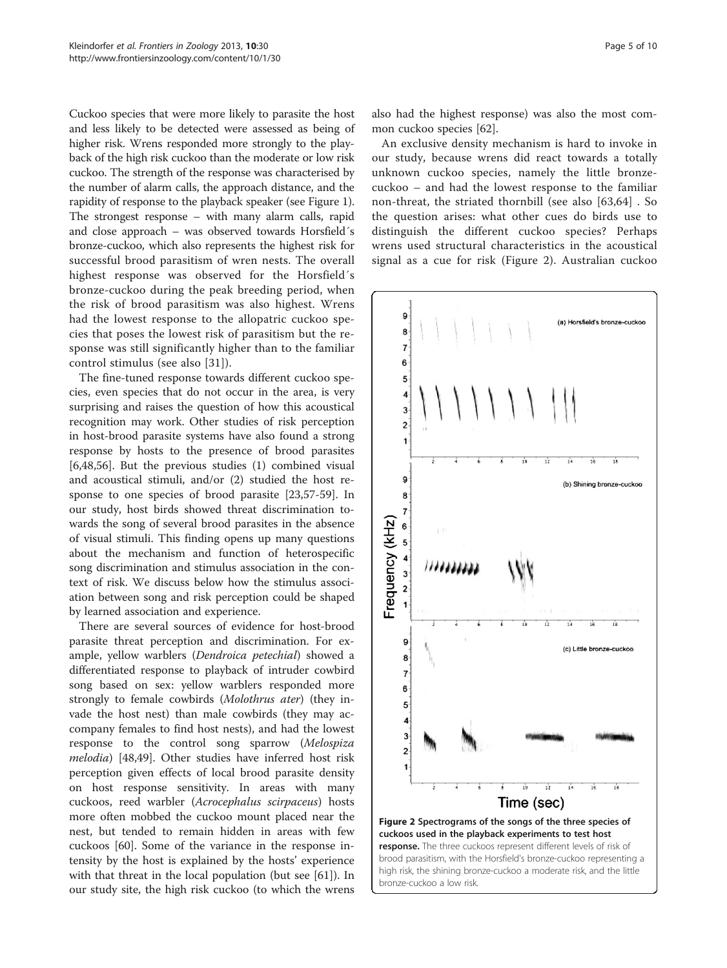<span id="page-4-0"></span>Cuckoo species that were more likely to parasite the host and less likely to be detected were assessed as being of higher risk. Wrens responded more strongly to the playback of the high risk cuckoo than the moderate or low risk cuckoo. The strength of the response was characterised by the number of alarm calls, the approach distance, and the rapidity of response to the playback speaker (see Figure [1](#page-3-0)). The strongest response – with many alarm calls, rapid and close approach – was observed towards Horsfield´s bronze-cuckoo, which also represents the highest risk for successful brood parasitism of wren nests. The overall highest response was observed for the Horsfield´s bronze-cuckoo during the peak breeding period, when the risk of brood parasitism was also highest. Wrens had the lowest response to the allopatric cuckoo species that poses the lowest risk of parasitism but the response was still significantly higher than to the familiar control stimulus (see also [[31](#page-8-0)]).

The fine-tuned response towards different cuckoo species, even species that do not occur in the area, is very surprising and raises the question of how this acoustical recognition may work. Other studies of risk perception in host-brood parasite systems have also found a strong response by hosts to the presence of brood parasites [[6,](#page-8-0)[48,56\]](#page-9-0). But the previous studies (1) combined visual and acoustical stimuli, and/or (2) studied the host response to one species of brood parasite [[23](#page-8-0),[57](#page-9-0)-[59\]](#page-9-0). In our study, host birds showed threat discrimination towards the song of several brood parasites in the absence of visual stimuli. This finding opens up many questions about the mechanism and function of heterospecific song discrimination and stimulus association in the context of risk. We discuss below how the stimulus association between song and risk perception could be shaped by learned association and experience.

There are several sources of evidence for host-brood parasite threat perception and discrimination. For example, yellow warblers (Dendroica petechial) showed a differentiated response to playback of intruder cowbird song based on sex: yellow warblers responded more strongly to female cowbirds (Molothrus ater) (they invade the host nest) than male cowbirds (they may accompany females to find host nests), and had the lowest response to the control song sparrow (Melospiza melodia) [\[48,49](#page-9-0)]. Other studies have inferred host risk perception given effects of local brood parasite density on host response sensitivity. In areas with many cuckoos, reed warbler (Acrocephalus scirpaceus) hosts more often mobbed the cuckoo mount placed near the nest, but tended to remain hidden in areas with few cuckoos [[60\]](#page-9-0). Some of the variance in the response intensity by the host is explained by the hosts' experience with that threat in the local population (but see [\[61](#page-9-0)]). In our study site, the high risk cuckoo (to which the wrens also had the highest response) was also the most common cuckoo species [\[62](#page-9-0)].

An exclusive density mechanism is hard to invoke in our study, because wrens did react towards a totally unknown cuckoo species, namely the little bronzecuckoo – and had the lowest response to the familiar non-threat, the striated thornbill (see also [[63,64](#page-9-0)] . So the question arises: what other cues do birds use to distinguish the different cuckoo species? Perhaps wrens used structural characteristics in the acoustical signal as a cue for risk (Figure 2). Australian cuckoo



cuckoos used in the playback experiments to test host response. The three cuckoos represent different levels of risk of brood parasitism, with the Horsfield's bronze-cuckoo representing a high risk, the shining bronze-cuckoo a moderate risk, and the little bronze-cuckoo a low risk.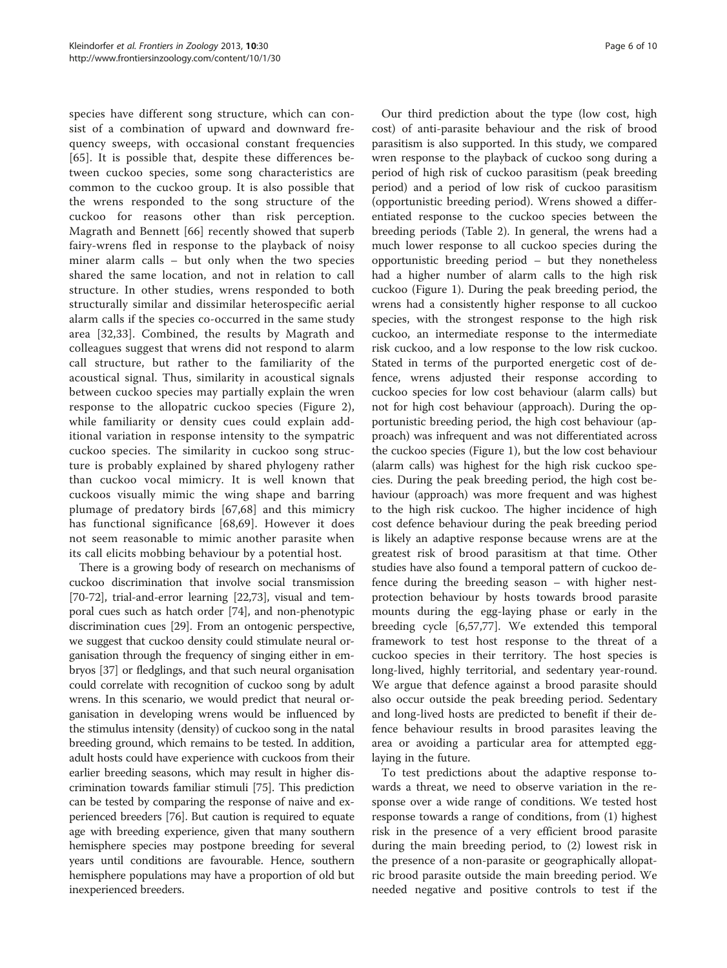species have different song structure, which can consist of a combination of upward and downward frequency sweeps, with occasional constant frequencies [[65](#page-9-0)]. It is possible that, despite these differences between cuckoo species, some song characteristics are common to the cuckoo group. It is also possible that the wrens responded to the song structure of the cuckoo for reasons other than risk perception. Magrath and Bennett [[66](#page-9-0)] recently showed that superb fairy-wrens fled in response to the playback of noisy miner alarm calls – but only when the two species shared the same location, and not in relation to call structure. In other studies, wrens responded to both structurally similar and dissimilar heterospecific aerial alarm calls if the species co-occurred in the same study area [[32,33](#page-8-0)]. Combined, the results by Magrath and colleagues suggest that wrens did not respond to alarm call structure, but rather to the familiarity of the acoustical signal. Thus, similarity in acoustical signals between cuckoo species may partially explain the wren response to the allopatric cuckoo species (Figure [2\)](#page-4-0), while familiarity or density cues could explain additional variation in response intensity to the sympatric cuckoo species. The similarity in cuckoo song structure is probably explained by shared phylogeny rather than cuckoo vocal mimicry. It is well known that cuckoos visually mimic the wing shape and barring plumage of predatory birds [[67,68](#page-9-0)] and this mimicry has functional significance [[68,69](#page-9-0)]. However it does not seem reasonable to mimic another parasite when its call elicits mobbing behaviour by a potential host.

There is a growing body of research on mechanisms of cuckoo discrimination that involve social transmission [[70](#page-9-0)-[72\]](#page-9-0), trial-and-error learning [\[22,](#page-8-0)[73\]](#page-9-0), visual and temporal cues such as hatch order [\[74\]](#page-9-0), and non-phenotypic discrimination cues [[29](#page-8-0)]. From an ontogenic perspective, we suggest that cuckoo density could stimulate neural organisation through the frequency of singing either in embryos [\[37](#page-8-0)] or fledglings, and that such neural organisation could correlate with recognition of cuckoo song by adult wrens. In this scenario, we would predict that neural organisation in developing wrens would be influenced by the stimulus intensity (density) of cuckoo song in the natal breeding ground, which remains to be tested. In addition, adult hosts could have experience with cuckoos from their earlier breeding seasons, which may result in higher discrimination towards familiar stimuli [\[75\]](#page-9-0). This prediction can be tested by comparing the response of naive and experienced breeders [[76](#page-9-0)]. But caution is required to equate age with breeding experience, given that many southern hemisphere species may postpone breeding for several years until conditions are favourable. Hence, southern hemisphere populations may have a proportion of old but inexperienced breeders.

Our third prediction about the type (low cost, high cost) of anti-parasite behaviour and the risk of brood parasitism is also supported. In this study, we compared wren response to the playback of cuckoo song during a period of high risk of cuckoo parasitism (peak breeding period) and a period of low risk of cuckoo parasitism (opportunistic breeding period). Wrens showed a differentiated response to the cuckoo species between the breeding periods (Table [2](#page-3-0)). In general, the wrens had a much lower response to all cuckoo species during the opportunistic breeding period – but they nonetheless had a higher number of alarm calls to the high risk cuckoo (Figure [1\)](#page-3-0). During the peak breeding period, the wrens had a consistently higher response to all cuckoo species, with the strongest response to the high risk cuckoo, an intermediate response to the intermediate risk cuckoo, and a low response to the low risk cuckoo. Stated in terms of the purported energetic cost of defence, wrens adjusted their response according to cuckoo species for low cost behaviour (alarm calls) but not for high cost behaviour (approach). During the opportunistic breeding period, the high cost behaviour (approach) was infrequent and was not differentiated across the cuckoo species (Figure [1](#page-3-0)), but the low cost behaviour (alarm calls) was highest for the high risk cuckoo species. During the peak breeding period, the high cost behaviour (approach) was more frequent and was highest to the high risk cuckoo. The higher incidence of high cost defence behaviour during the peak breeding period is likely an adaptive response because wrens are at the greatest risk of brood parasitism at that time. Other studies have also found a temporal pattern of cuckoo defence during the breeding season – with higher nestprotection behaviour by hosts towards brood parasite mounts during the egg-laying phase or early in the breeding cycle [\[6](#page-8-0)[,57,77\]](#page-9-0). We extended this temporal framework to test host response to the threat of a cuckoo species in their territory. The host species is long-lived, highly territorial, and sedentary year-round. We argue that defence against a brood parasite should also occur outside the peak breeding period. Sedentary and long-lived hosts are predicted to benefit if their defence behaviour results in brood parasites leaving the area or avoiding a particular area for attempted egglaying in the future.

To test predictions about the adaptive response towards a threat, we need to observe variation in the response over a wide range of conditions. We tested host response towards a range of conditions, from (1) highest risk in the presence of a very efficient brood parasite during the main breeding period, to (2) lowest risk in the presence of a non-parasite or geographically allopatric brood parasite outside the main breeding period. We needed negative and positive controls to test if the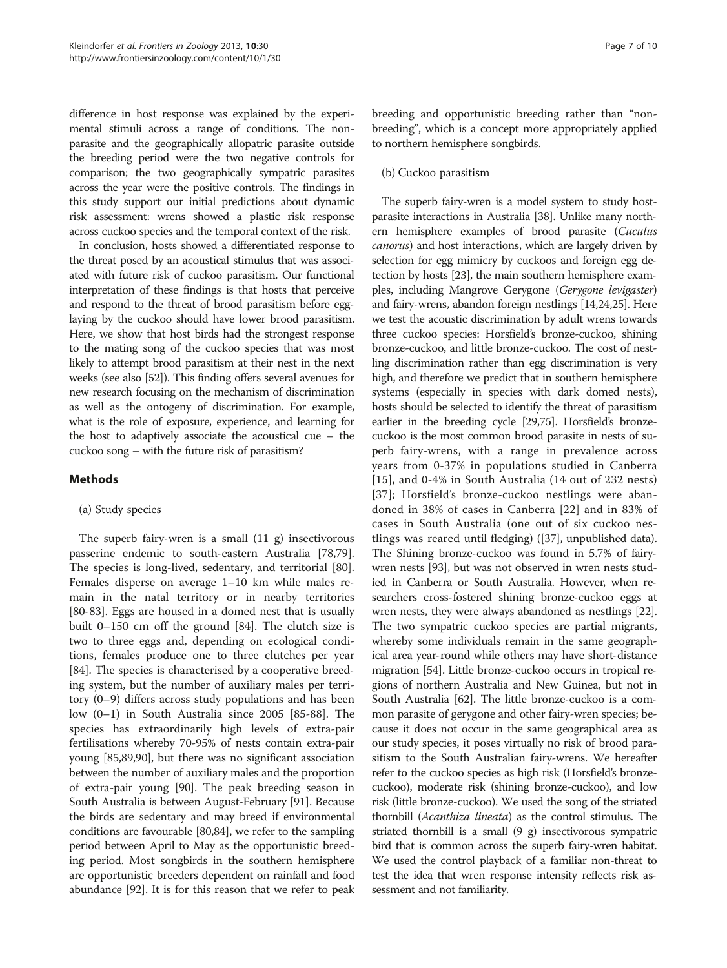difference in host response was explained by the experimental stimuli across a range of conditions. The nonparasite and the geographically allopatric parasite outside the breeding period were the two negative controls for comparison; the two geographically sympatric parasites across the year were the positive controls. The findings in this study support our initial predictions about dynamic risk assessment: wrens showed a plastic risk response across cuckoo species and the temporal context of the risk.

In conclusion, hosts showed a differentiated response to the threat posed by an acoustical stimulus that was associated with future risk of cuckoo parasitism. Our functional interpretation of these findings is that hosts that perceive and respond to the threat of brood parasitism before egglaying by the cuckoo should have lower brood parasitism. Here, we show that host birds had the strongest response to the mating song of the cuckoo species that was most likely to attempt brood parasitism at their nest in the next weeks (see also [[52](#page-9-0)]). This finding offers several avenues for new research focusing on the mechanism of discrimination as well as the ontogeny of discrimination. For example, what is the role of exposure, experience, and learning for the host to adaptively associate the acoustical cue – the cuckoo song – with the future risk of parasitism?

# Methods

# (a) Study species

The superb fairy-wren is a small (11 g) insectivorous passerine endemic to south-eastern Australia [\[78,79](#page-9-0)]. The species is long-lived, sedentary, and territorial [\[80](#page-9-0)]. Females disperse on average 1–10 km while males remain in the natal territory or in nearby territories [[80-83](#page-9-0)]. Eggs are housed in a domed nest that is usually built 0–150 cm off the ground [[84](#page-9-0)]. The clutch size is two to three eggs and, depending on ecological conditions, females produce one to three clutches per year [[84\]](#page-9-0). The species is characterised by a cooperative breeding system, but the number of auxiliary males per territory (0–9) differs across study populations and has been low (0–1) in South Australia since 2005 [[85-88](#page-9-0)]. The species has extraordinarily high levels of extra-pair fertilisations whereby 70-95% of nests contain extra-pair young [[85,89,90\]](#page-9-0), but there was no significant association between the number of auxiliary males and the proportion of extra-pair young [\[90](#page-9-0)]. The peak breeding season in South Australia is between August-February [[91](#page-9-0)]. Because the birds are sedentary and may breed if environmental conditions are favourable [[80,84\]](#page-9-0), we refer to the sampling period between April to May as the opportunistic breeding period. Most songbirds in the southern hemisphere are opportunistic breeders dependent on rainfall and food abundance [\[92\]](#page-9-0). It is for this reason that we refer to peak breeding and opportunistic breeding rather than "nonbreeding", which is a concept more appropriately applied to northern hemisphere songbirds.

#### (b) Cuckoo parasitism

The superb fairy-wren is a model system to study hostparasite interactions in Australia [[38](#page-8-0)]. Unlike many northern hemisphere examples of brood parasite (Cuculus canorus) and host interactions, which are largely driven by selection for egg mimicry by cuckoos and foreign egg detection by hosts [[23](#page-8-0)], the main southern hemisphere examples, including Mangrove Gerygone (Gerygone levigaster) and fairy-wrens, abandon foreign nestlings [[14,24,25](#page-8-0)]. Here we test the acoustic discrimination by adult wrens towards three cuckoo species: Horsfield's bronze-cuckoo, shining bronze-cuckoo, and little bronze-cuckoo. The cost of nestling discrimination rather than egg discrimination is very high, and therefore we predict that in southern hemisphere systems (especially in species with dark domed nests), hosts should be selected to identify the threat of parasitism earlier in the breeding cycle [[29](#page-8-0)[,75\]](#page-9-0). Horsfield's bronzecuckoo is the most common brood parasite in nests of superb fairy-wrens, with a range in prevalence across years from 0-37% in populations studied in Canberra [[15](#page-8-0)], and 0-4% in South Australia (14 out of 232 nests) [[37](#page-8-0)]; Horsfield's bronze-cuckoo nestlings were abandoned in 38% of cases in Canberra [[22\]](#page-8-0) and in 83% of cases in South Australia (one out of six cuckoo nestlings was reared until fledging) ([\[37\]](#page-8-0), unpublished data). The Shining bronze-cuckoo was found in 5.7% of fairywren nests [\[93\]](#page-9-0), but was not observed in wren nests studied in Canberra or South Australia. However, when researchers cross-fostered shining bronze-cuckoo eggs at wren nests, they were always abandoned as nestlings [[22](#page-8-0)]. The two sympatric cuckoo species are partial migrants, whereby some individuals remain in the same geographical area year-round while others may have short-distance migration [[54](#page-9-0)]. Little bronze-cuckoo occurs in tropical regions of northern Australia and New Guinea, but not in South Australia [\[62\]](#page-9-0). The little bronze-cuckoo is a common parasite of gerygone and other fairy-wren species; because it does not occur in the same geographical area as our study species, it poses virtually no risk of brood parasitism to the South Australian fairy-wrens. We hereafter refer to the cuckoo species as high risk (Horsfield's bronzecuckoo), moderate risk (shining bronze-cuckoo), and low risk (little bronze-cuckoo). We used the song of the striated thornbill (Acanthiza lineata) as the control stimulus. The striated thornbill is a small (9 g) insectivorous sympatric bird that is common across the superb fairy-wren habitat. We used the control playback of a familiar non-threat to test the idea that wren response intensity reflects risk assessment and not familiarity.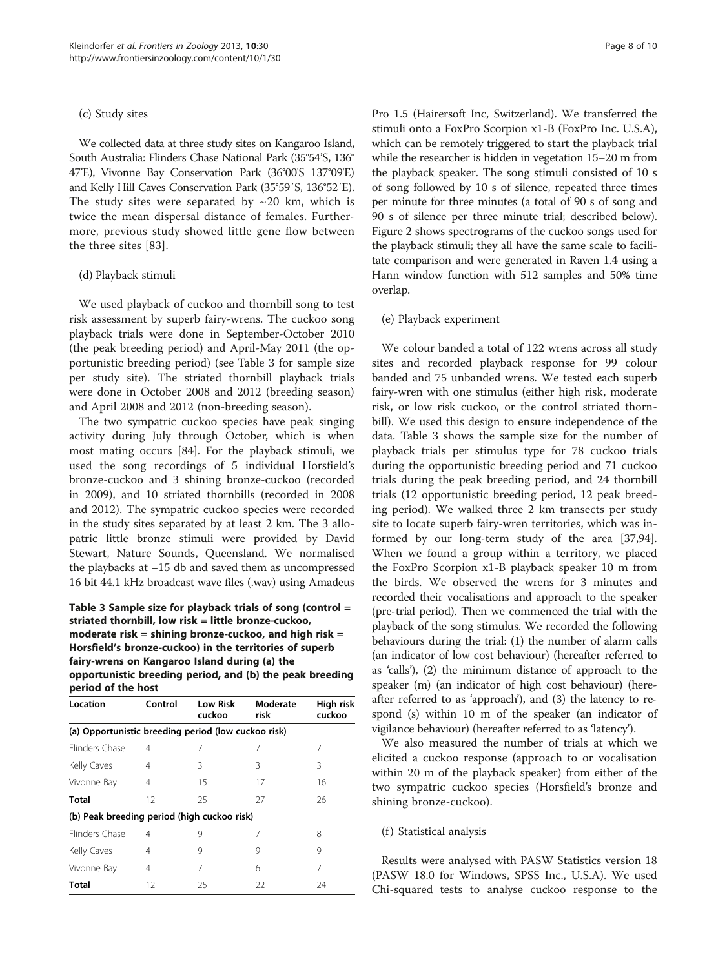#### (c) Study sites

We collected data at three study sites on Kangaroo Island, South Australia: Flinders Chase National Park (35°54'S, 136° 47'E), Vivonne Bay Conservation Park (36°00'S 137°09'E) and Kelly Hill Caves Conservation Park (35°59′S, 136°52′E). The study sites were separated by  $\sim$  20 km, which is twice the mean dispersal distance of females. Furthermore, previous study showed little gene flow between the three sites [\[83](#page-9-0)].

#### (d) Playback stimuli

We used playback of cuckoo and thornbill song to test risk assessment by superb fairy-wrens. The cuckoo song playback trials were done in September-October 2010 (the peak breeding period) and April-May 2011 (the opportunistic breeding period) (see Table 3 for sample size per study site). The striated thornbill playback trials were done in October 2008 and 2012 (breeding season) and April 2008 and 2012 (non-breeding season).

The two sympatric cuckoo species have peak singing activity during July through October, which is when most mating occurs [[84\]](#page-9-0). For the playback stimuli, we used the song recordings of 5 individual Horsfield's bronze-cuckoo and 3 shining bronze-cuckoo (recorded in 2009), and 10 striated thornbills (recorded in 2008 and 2012). The sympatric cuckoo species were recorded in the study sites separated by at least 2 km. The 3 allopatric little bronze stimuli were provided by David Stewart, Nature Sounds, Queensland. We normalised the playbacks at −15 db and saved them as uncompressed 16 bit 44.1 kHz broadcast wave files (.wav) using Amadeus

Table 3 Sample size for playback trials of song (control = striated thornbill, low risk = little bronze-cuckoo, moderate risk = shining bronze-cuckoo, and high risk = Horsfield's bronze-cuckoo) in the territories of superb fairy-wrens on Kangaroo Island during (a) the opportunistic breeding period, and (b) the peak breeding period of the host

| Location                                            | Control | <b>Low Risk</b><br>cuckoo | Moderate<br>risk | High risk<br>cuckoo |  |  |  |  |
|-----------------------------------------------------|---------|---------------------------|------------------|---------------------|--|--|--|--|
| (a) Opportunistic breeding period (low cuckoo risk) |         |                           |                  |                     |  |  |  |  |
| Flinders Chase                                      | 4       | 7                         | 7                | 7                   |  |  |  |  |
| Kelly Caves                                         | 4       | 3                         | 3                | 3                   |  |  |  |  |
| Vivonne Bay                                         | 4       | 15                        | 17               | 16                  |  |  |  |  |
| <b>Total</b>                                        | 12      | 25                        | 27               | 26                  |  |  |  |  |
| (b) Peak breeding period (high cuckoo risk)         |         |                           |                  |                     |  |  |  |  |
| Flinders Chase                                      | 4       | 9                         | 7                | 8                   |  |  |  |  |
| Kelly Caves                                         | 4       | 9                         | 9                | 9                   |  |  |  |  |
| Vivonne Bay                                         | 4       | 7                         | 6                | 7                   |  |  |  |  |
| <b>Total</b>                                        | 12      | 25                        | 22               | 24                  |  |  |  |  |

Pro 1.5 (Hairersoft Inc, Switzerland). We transferred the stimuli onto a FoxPro Scorpion x1-B (FoxPro Inc. U.S.A), which can be remotely triggered to start the playback trial while the researcher is hidden in vegetation 15–20 m from the playback speaker. The song stimuli consisted of 10 s of song followed by 10 s of silence, repeated three times per minute for three minutes (a total of 90 s of song and 90 s of silence per three minute trial; described below). Figure [2](#page-4-0) shows spectrograms of the cuckoo songs used for the playback stimuli; they all have the same scale to facilitate comparison and were generated in Raven 1.4 using a Hann window function with 512 samples and 50% time overlap.

#### (e) Playback experiment

We colour banded a total of 122 wrens across all study sites and recorded playback response for 99 colour banded and 75 unbanded wrens. We tested each superb fairy-wren with one stimulus (either high risk, moderate risk, or low risk cuckoo, or the control striated thornbill). We used this design to ensure independence of the data. Table 3 shows the sample size for the number of playback trials per stimulus type for 78 cuckoo trials during the opportunistic breeding period and 71 cuckoo trials during the peak breeding period, and 24 thornbill trials (12 opportunistic breeding period, 12 peak breeding period). We walked three 2 km transects per study site to locate superb fairy-wren territories, which was informed by our long-term study of the area [\[37](#page-8-0)[,94](#page-9-0)]. When we found a group within a territory, we placed the FoxPro Scorpion x1-B playback speaker 10 m from the birds. We observed the wrens for 3 minutes and recorded their vocalisations and approach to the speaker (pre-trial period). Then we commenced the trial with the playback of the song stimulus. We recorded the following behaviours during the trial: (1) the number of alarm calls (an indicator of low cost behaviour) (hereafter referred to as 'calls'), (2) the minimum distance of approach to the speaker (m) (an indicator of high cost behaviour) (hereafter referred to as 'approach'), and (3) the latency to respond (s) within 10 m of the speaker (an indicator of vigilance behaviour) (hereafter referred to as 'latency').

We also measured the number of trials at which we elicited a cuckoo response (approach to or vocalisation within 20 m of the playback speaker) from either of the two sympatric cuckoo species (Horsfield's bronze and shining bronze-cuckoo).

#### (f) Statistical analysis

Results were analysed with PASW Statistics version 18 (PASW 18.0 for Windows, SPSS Inc., U.S.A). We used Chi-squared tests to analyse cuckoo response to the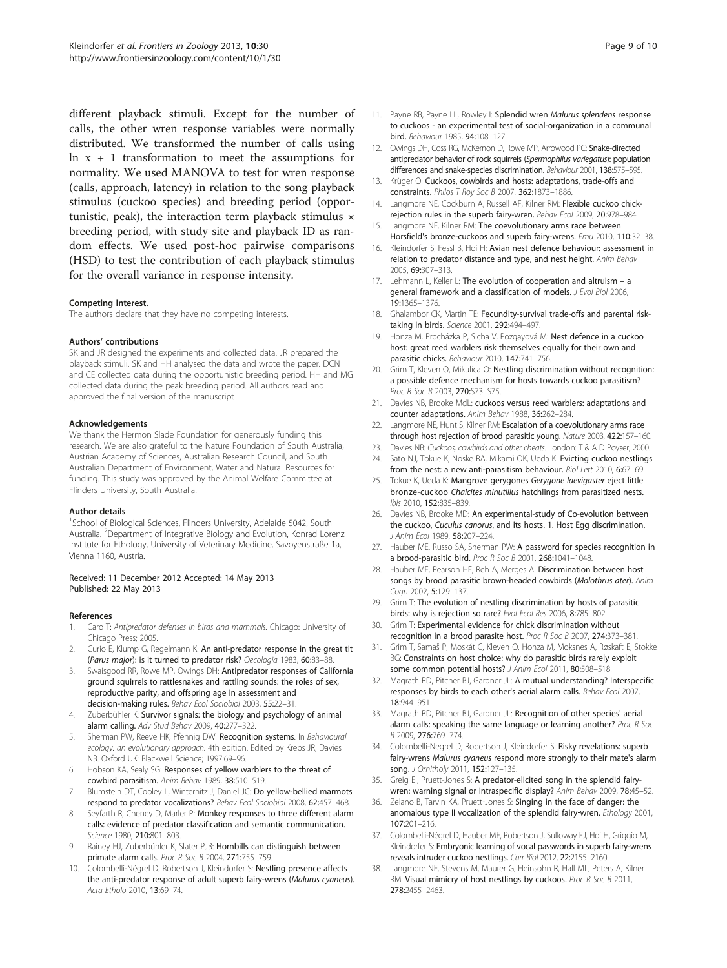<span id="page-8-0"></span>different playback stimuli. Except for the number of calls, the other wren response variables were normally distributed. We transformed the number of calls using  $\ln x + 1$  transformation to meet the assumptions for normality. We used MANOVA to test for wren response (calls, approach, latency) in relation to the song playback stimulus (cuckoo species) and breeding period (opportunistic, peak), the interaction term playback stimulus  $\times$ breeding period, with study site and playback ID as random effects. We used post-hoc pairwise comparisons (HSD) to test the contribution of each playback stimulus for the overall variance in response intensity.

#### Competing Interest.

The authors declare that they have no competing interests.

#### Authors' contributions

SK and JR designed the experiments and collected data. JR prepared the playback stimuli. SK and HH analysed the data and wrote the paper. DCN and CE collected data during the opportunistic breeding period. HH and MG collected data during the peak breeding period. All authors read and approved the final version of the manuscript

#### Acknowledgements

We thank the Hermon Slade Foundation for generously funding this research. We are also grateful to the Nature Foundation of South Australia, Austrian Academy of Sciences, Australian Research Council, and South Australian Department of Environment, Water and Natural Resources for funding. This study was approved by the Animal Welfare Committee at Flinders University, South Australia.

#### Author details

<sup>1</sup>School of Biological Sciences, Flinders University, Adelaide 5042, South Australia. <sup>2</sup>Department of Integrative Biology and Evolution, Konrad Lorenz Institute for Ethology, University of Veterinary Medicine, Savoyenstraße 1a, Vienna 1160, Austria.

#### Received: 11 December 2012 Accepted: 14 May 2013 Published: 22 May 2013

#### References

- 1. Caro T: Antipredator defenses in birds and mammals. Chicago: University of Chicago Press; 2005.
- Curio E, Klump G, Regelmann K: An anti-predator response in the great tit (Parus major): is it turned to predator risk? Oecologia 1983, 60:83–88.
- 3. Swaisgood RR, Rowe MP, Owings DH: Antipredator responses of California ground squirrels to rattlesnakes and rattling sounds: the roles of sex, reproductive parity, and offspring age in assessment and decision-making rules. Behav Ecol Sociobiol 2003, 55:22–31.
- Zuberbühler K: Survivor signals: the biology and psychology of animal alarm calling. Adv Stud Behav 2009, 40:277–322.
- 5. Sherman PW, Reeve HK, Pfennig DW: Recognition systems. In Behavioural ecology: an evolutionary approach. 4th edition. Edited by Krebs JR, Davies NB. Oxford UK: Blackwell Science; 1997:69–96.
- 6. Hobson KA, Sealy SG: Responses of yellow warblers to the threat of cowbird parasitism. Anim Behav 1989, 38:510–519.
- 7. Blumstein DT, Cooley L, Winternitz J, Daniel JC: Do yellow-bellied marmots respond to predator vocalizations? Behav Ecol Sociobiol 2008, 62:457–468.
- 8. Seyfarth R, Cheney D, Marler P: Monkey responses to three different alarm calls: evidence of predator classification and semantic communication. Science 1980, 210:801–803.
- 9. Rainey HJ, Zuberbühler K, Slater PJB: Hornbills can distinguish between primate alarm calls. Proc R Soc B 2004, 271:755–759.
- 10. Colombelli-Négrel D, Robertson J, Kleindorfer S: Nestling presence affects the anti-predator response of adult superb fairy-wrens (Malurus cyaneus). Acta Etholo 2010, 13:69–74.
- 11. Payne RB, Payne LL, Rowley I: Splendid wren Malurus splendens response to cuckoos - an experimental test of social-organization in a communal bird. Behaviour 1985, 94:108–127.
- 12. Owings DH, Coss RG, McKernon D, Rowe MP, Arrowood PC: Snake-directed antipredator behavior of rock squirrels (Spermophilus variegatus): population differences and snake-species discrimination. Behaviour 2001, 138:575–595.
- 13. Krüger O: Cuckoos, cowbirds and hosts: adaptations, trade-offs and constraints. Philos T Roy Soc B 2007, 362:1873-1886.
- 14. Langmore NE, Cockburn A, Russell AF, Kilner RM: Flexible cuckoo chickrejection rules in the superb fairy-wren. Behav Ecol 2009, 20:978–984.
- 15. Langmore NE, Kilner RM: The coevolutionary arms race between Horsfield's bronze-cuckoos and superb fairy-wrens. Emu 2010, 110:32–38.
- 16. Kleindorfer S, Fessl B, Hoi H: Avian nest defence behaviour: assessment in relation to predator distance and type, and nest height. Anim Behav 2005, 69:307–313.
- 17. Lehmann L, Keller L: The evolution of cooperation and altruism a general framework and a classification of models. J Evol Biol 2006, 19:1365–1376.
- 18. Ghalambor CK, Martin TE: Fecundity-survival trade-offs and parental risktaking in birds. Science 2001, 292:494–497.
- 19. Honza M, Procházka P, Sicha V, Pozgayová M: Nest defence in a cuckoo host: great reed warblers risk themselves equally for their own and parasitic chicks. Behaviour 2010, 147:741–756.
- 20. Grim T, Kleven O, Mikulica O: Nestling discrimination without recognition: a possible defence mechanism for hosts towards cuckoo parasitism? Proc R Soc B 2003, 270:S73–S75.
- 21. Davies NB, Brooke MdL: cuckoos versus reed warblers: adaptations and counter adaptations. Anim Behav 1988, 36:262–284.
- 22. Langmore NE, Hunt S, Kilner RM: Escalation of a coevolutionary arms race through host rejection of brood parasitic young. Nature 2003, 422:157–160.
- 23. Davies NB: Cuckoos, cowbirds and other cheats. London: T & A D Poyser; 2000.
- 24. Sato NJ, Tokue K, Noske RA, Mikami OK, Ueda K: Evicting cuckoo nestlings from the nest: a new anti-parasitism behaviour. Biol Lett 2010, 6:67–69.
- 25. Tokue K, Ueda K: Mangrove gerygones Gerygone laevigaster eject little bronze-cuckoo Chalcites minutillus hatchlings from parasitized nests. Ibis 2010, 152:835–839.
- 26. Davies NB, Brooke MD: An experimental-study of Co-evolution between the cuckoo, Cuculus canorus, and its hosts. 1. Host Egg discrimination. J Anim Ecol 1989, 58:207-224
- 27. Hauber ME, Russo SA, Sherman PW: A password for species recognition in a brood-parasitic bird. Proc R Soc B 2001, 268:1041–1048.
- 28. Hauber ME, Pearson HE, Reh A, Merges A: Discrimination between host songs by brood parasitic brown-headed cowbirds (Molothrus ater). Anim Cogn 2002, 5:129–137.
- 29. Grim T: The evolution of nestling discrimination by hosts of parasitic birds: why is rejection so rare? Evol Ecol Res 2006, 8:785–802.
- 30. Grim T: Experimental evidence for chick discrimination without recognition in a brood parasite host. Proc R Soc B 2007, 274:373–381.
- 31. Grim T, Samaš P, Moskát C, Kleven O, Honza M, Moksnes A, Røskaft E, Stokke BG: Constraints on host choice: why do parasitic birds rarely exploit some common potential hosts? J Anim Ecol 2011, 80:508-518.
- 32. Magrath RD, Pitcher BJ, Gardner JL: A mutual understanding? Interspecific responses by birds to each other's aerial alarm calls. Behav Ecol 2007, 18:944–951.
- 33. Magrath RD, Pitcher BJ, Gardner JL: Recognition of other species' aerial alarm calls: speaking the same language or learning another? Proc R Soc B 2009, 276:769–774.
- 34. Colombelli-Negrel D, Robertson J, Kleindorfer S: Risky revelations: superb fairy-wrens Malurus cyaneus respond more strongly to their mate's alarm song. J Ornitholy 2011, 152:127-135.
- Greig EI, Pruett-Jones S: A predator-elicited song in the splendid fairywren: warning signal or intraspecific display? Anim Behav 2009, 78:45–52.
- 36. Zelano B, Tarvin KA, Pruett-Jones S: Singing in the face of danger: the anomalous type II vocalization of the splendid fairy-wren. Ethology 2001, 107:201–216.
- 37. Colombelli-Négrel D, Hauber ME, Robertson J, Sulloway FJ, Hoi H, Griggio M, Kleindorfer S: Embryonic learning of vocal passwords in superb fairy-wrens reveals intruder cuckoo nestlings. Curr Biol 2012, 22:2155–2160.
- 38. Langmore NE, Stevens M, Maurer G, Heinsohn R, Hall ML, Peters A, Kilner RM: Visual mimicry of host nestlings by cuckoos. Proc R Soc B 2011, 278:2455–2463.